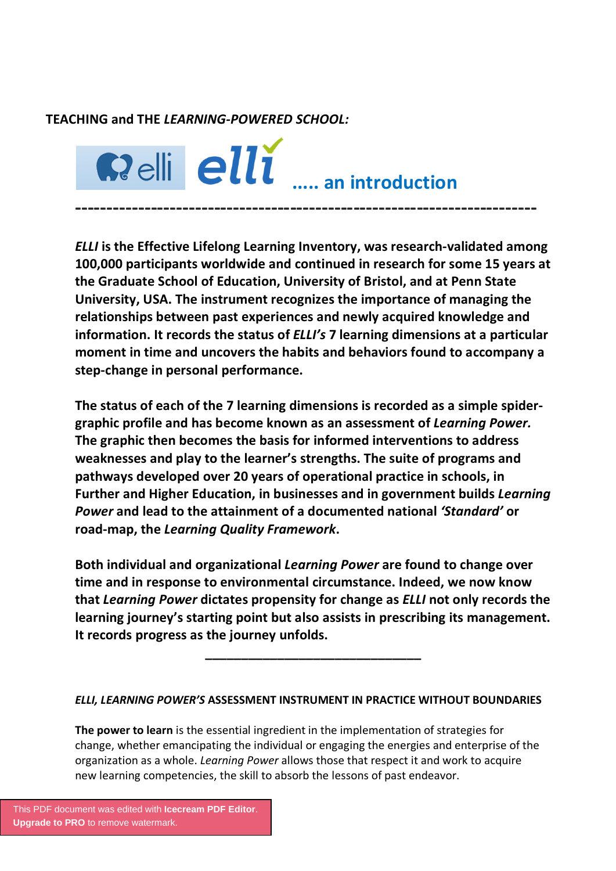## **TEACHING and THE** *LEARNING-POWERED SCHOOL:*



*ELLI* **is the Effective Lifelong Learning Inventory, was research-validated among 100,000 participants worldwide and continued in research for some 15 years at the Graduate School of Education, University of Bristol, and at Penn State University, USA. The instrument recognizes the importance of managing the relationships between past experiences and newly acquired knowledge and information. It records the status of** *ELLI's* **7 learning dimensions at a particular moment in time and uncovers the habits and behaviors found to accompany a step-change in personal performance.** 

**The status of each of the 7 learning dimensions is recorded as a simple spider graphic profile and has become known as an assessment of** *Learning Power.* **The graphic then becomes the basis for informed interventions to address weaknesses and play to the learner's strengths. The suite of programs and pathways developed over 20 years of operational practice in schools, in Further and Higher Education, in businesses and in government builds** *Learning Power* **and lead to the attainment of a documented national** *'Standard'* **or road-map, the** *Learning Quality Framework***.**

**Both individual and organizational** *Learning Power* **are found to change over time and in response to environmental circumstance. Indeed, we now know that** *Learning Power* **dictates propensity for change as** *ELLI* **not only records the learning journey's starting point but also assists in prescribing its management.**  It records progress as the journey unfolds.

## *ELLI, LEARNING POWER'S* **ASSESSMENT INSTRUMENT IN PRACTICE WITHOUT BOUNDARIES**

**The power to learn** is the essential ingredient in the implementation of strategies for change, whether emancipating the individual or engaging the energies and enterprise of the organization as a whole. *Learning Power* allows those that respect it and work to acquire new learning competencies, the skill to absorb the lessons of past endeavor.

[This PDF document was edited with](https://icecreamapps.com/PDF-Editor/upgrade.html?v=2.46&t=9) **Icecream PDF Editor**. **Upgrade to PRO** to remove watermark.